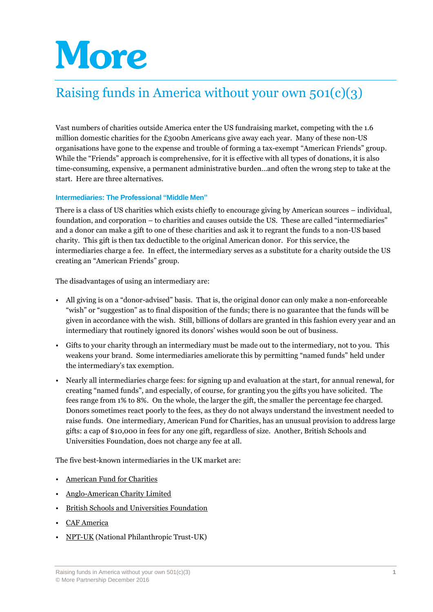# More

# Raising funds in America without your own 501(c)(3)

Vast numbers of charities outside America enter the US fundraising market, competing with the 1.6 million domestic charities for the £300bn Americans give away each year. Many of these non-US organisations have gone to the expense and trouble of forming a tax-exempt "American Friends" group. While the "Friends" approach is comprehensive, for it is effective with all types of donations, it is also time-consuming, expensive, a permanent administrative burden…and often the wrong step to take at the start. Here are three alternatives.

# **Intermediaries: The Professional "Middle Men"**

There is a class of US charities which exists chiefly to encourage giving by American sources – individual, foundation, and corporation – to charities and causes outside the US. These are called "intermediaries" and a donor can make a gift to one of these charities and ask it to regrant the funds to a non-US based charity. This gift is then tax deductible to the original American donor. For this service, the intermediaries charge a fee. In effect, the intermediary serves as a substitute for a charity outside the US creating an "American Friends" group.

The disadvantages of using an intermediary are:

- All giving is on a "donor-advised" basis. That is, the original donor can only make a non-enforceable "wish" or "suggestion" as to final disposition of the funds; there is no guarantee that the funds will be given in accordance with the wish. Still, billions of dollars are granted in this fashion every year and an intermediary that routinely ignored its donors' wishes would soon be out of business.
- Gifts to your charity through an intermediary must be made out to the intermediary, not to you. This weakens your brand. Some intermediaries ameliorate this by permitting "named funds" held under the intermediary's tax exemption.
- Nearly all intermediaries charge fees: for signing up and evaluation at the start, for annual renewal, for creating "named funds", and especially, of course, for granting you the gifts you have solicited. The fees range from 1% to 8%. On the whole, the larger the gift, the smaller the percentage fee charged. Donors sometimes react poorly to the fees, as they do not always understand the investment needed to raise funds. One intermediary, American Fund for Charities, has an unusual provision to address large gifts: a cap of \$10,000 in fees for any one gift, regardless of size. Another, British Schools and Universities Foundation, does not charge any fee at all.

The five best-known intermediaries in the UK market are:

- [American Fund for Charities](http://www.americanfund.info/)
- [Anglo-American Charity Limited](http://www.anglo-americancharity.org/)
- [British Schools and Universities Foundation](http://www.bsuf.org/)
- **CAF** America
- [NPT-UK](http://www.npt-uk.org/) (National Philanthropic Trust-UK)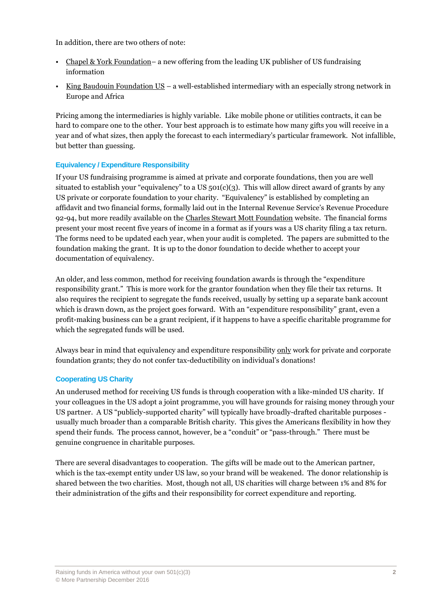In addition, there are two others of note:

- [Chapel & York Foundation](http://www.chapel-yorkfoundation.org/) a new offering from the leading UK publisher of US fundraising information
- [King Baudouin Foundation US](http://www.kbfus.org/) a well-established intermediary with an especially strong network in Europe and Africa

Pricing among the intermediaries is highly variable. Like mobile phone or utilities contracts, it can be hard to compare one to the other. Your best approach is to estimate how many gifts you will receive in a year and of what sizes, then apply the forecast to each intermediary's particular framework. Not infallible, but better than guessing.

# **Equivalency / Expenditure Responsibility**

If your US fundraising programme is aimed at private and corporate foundations, then you are well situated to establish your "equivalency" to a US  $501(c)(3)$ . This will allow direct award of grants by any US private or corporate foundation to your charity. "Equivalency" is established by completing an affidavit and two financial forms, formally laid out in the Internal Revenue Service's Revenue Procedure 92-94, but more readily available on the [Charles Stewart Mott Foundation](https://www.mott.org/grantee-resources/forms/) website. The financial forms present your most recent five years of income in a format as if yours was a US charity filing a tax return. The forms need to be updated each year, when your audit is completed. The papers are submitted to the foundation making the grant. It is up to the donor foundation to decide whether to accept your documentation of equivalency.

An older, and less common, method for receiving foundation awards is through the "expenditure responsibility grant." This is more work for the grantor foundation when they file their tax returns. It also requires the recipient to segregate the funds received, usually by setting up a separate bank account which is drawn down, as the project goes forward. With an "expenditure responsibility" grant, even a profit-making business can be a grant recipient, if it happens to have a specific charitable programme for which the segregated funds will be used.

Always bear in mind that equivalency and expenditure responsibility only work for private and corporate foundation grants; they do not confer tax-deductibility on individual's donations!

# **Cooperating US Charity**

An underused method for receiving US funds is through cooperation with a like-minded US charity. If your colleagues in the US adopt a joint programme, you will have grounds for raising money through your US partner. A US "publicly-supported charity" will typically have broadly-drafted charitable purposes usually much broader than a comparable British charity. This gives the Americans flexibility in how they spend their funds. The process cannot, however, be a "conduit" or "pass-through." There must be genuine congruence in charitable purposes.

There are several disadvantages to cooperation. The gifts will be made out to the American partner, which is the tax-exempt entity under US law, so your brand will be weakened. The donor relationship is shared between the two charities. Most, though not all, US charities will charge between 1% and 8% for their administration of the gifts and their responsibility for correct expenditure and reporting.